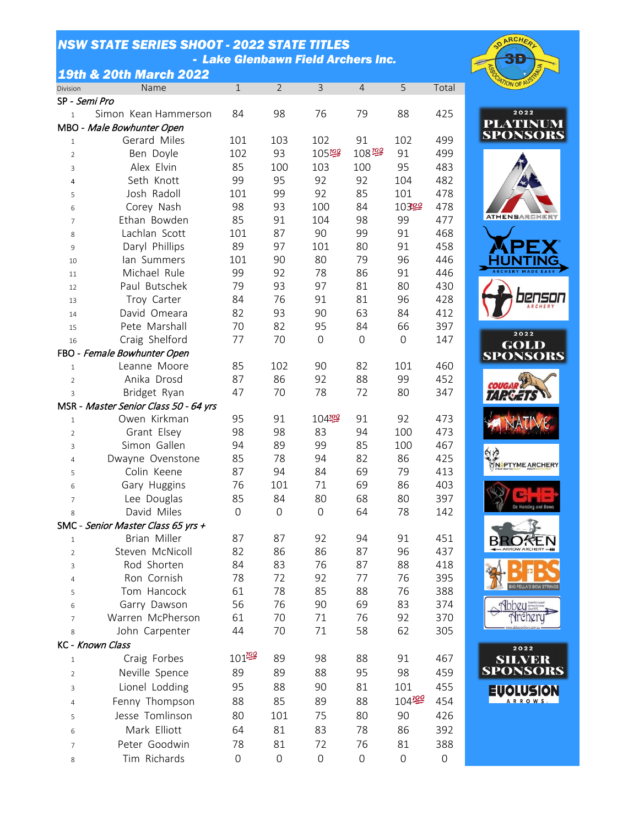## *NSW STATE SERIES SHOOT - 2022 STATE TITLES - Lake Glenbawn Field Archers Inc.*

## *19th & 20th March 2022*

| Division       | Name                                  | $\mathbf 1$    | $\overline{2}$ | 3           | 4                  | 5                | Total |
|----------------|---------------------------------------|----------------|----------------|-------------|--------------------|------------------|-------|
|                | SP - Semi Pro                         |                |                |             |                    |                  |       |
| $\mathbf{1}$   | Simon Kean Hammerson                  | 84             | 98             | 76          | 79                 | 88               | 425   |
|                | MBO - Male Bowhunter Open             |                |                |             |                    |                  |       |
| $\mathbf{1}$   | Gerard Miles                          | 101            | 103            | 102         | 91                 | 102              | 499   |
| $\overline{2}$ | Ben Doyle                             | 102            | 93             | 105學        | $108\frac{100}{2}$ | 91               | 499   |
| 3              | Alex Elvin                            | 85             | 100            | 103         | 100                | 95               | 483   |
| 4              | Seth Knott                            | 99             | 95             | 92          | 92                 | 104              | 482   |
| 5              | Josh Radoll                           | 101            | 99             | 92          | 85                 | 101              | 478   |
| 6              | Corey Nash                            | 98             | 93             | 100         | 84                 | 10322            | 478   |
| $\overline{7}$ | Ethan Bowden                          | 85             | 91             | 104         | 98                 | 99               | 477   |
| 8              | Lachlan Scott                         | 101            | 87             | 90          | 99                 | 91               | 468   |
| 9              | Daryl Phillips                        | 89             | 97             | 101         | 80                 | 91               | 458   |
| 10             | lan Summers                           | 101            | 90             | 80          | 79                 | 96               | 446   |
| 11             | Michael Rule                          | 99             | 92             | 78          | 86                 | 91               | 446   |
| 12             | Paul Butschek                         | 79             | 93             | 97          | 81                 | 80               | 430   |
| 13             | Troy Carter                           | 84             | 76             | 91          | 81                 | 96               | 428   |
| 14             | David Omeara                          | 82             | 93             | 90          | 63                 | 84               | 412   |
| 15             | Pete Marshall                         | 70             | 82             | 95          | 84                 | 66               | 397   |
| 16             | Craig Shelford                        | 77             | 70             | $\mathbf 0$ | 0                  | $\boldsymbol{0}$ | 147   |
|                | FBO - Female Bowhunter Open           |                |                |             |                    |                  |       |
| $\mathbf{1}$   | Leanne Moore                          | 85             | 102            | 90          | 82                 | 101              | 460   |
| $\overline{2}$ | Anika Drosd                           | 87             | 86             | 92          | 88                 | 99               | 452   |
| 3              | Bridget Ryan                          | 47             | 70             | 78          | 72                 | 80               | 347   |
|                | MSR - Master Senior Class 50 - 64 yrs |                |                |             |                    |                  |       |
| $\mathbf{1}$   | Owen Kirkman                          | 95             | 91             | 10422       | 91                 | 92               | 473   |
| $\overline{2}$ | Grant Elsey                           | 98             | 98             | 83          | 94                 | 100              | 473   |
| 3              | Simon Gallen                          | 94             | 89             | 99          | 85                 | 100              | 467   |
| $\overline{4}$ | Dwayne Ovenstone                      | 85             | 78             | 94          | 82                 | 86               | 425   |
| 5              | Colin Keene                           | 87             | 94             | 84          | 69                 | 79               | 413   |
| 6              | Gary Huggins                          | 76             | 101            | 71          | 69                 | 86               | 403   |
| $\overline{7}$ | Lee Douglas                           | 85             | 84             | 80          | 68                 | 80               | 397   |
| 8              | David Miles                           | $\overline{0}$ | $\Omega$       | $\Omega$    | 64                 | 78               | 142   |
|                | SMC - Senior Master Class 65 yrs +    |                |                |             |                    |                  |       |
| $\mathbf{1}$   | Brian Miller                          | 87             | 87             | 92          | 94                 | 91               | 451   |
| $\overline{2}$ | Steven McNicoll                       | 82             | 86             | 86          | 87                 | 96               | 437   |
| 3              | Rod Shorten                           | 84             | 83             | 76          | 87                 | 88               | 418   |
| $\overline{4}$ | Ron Cornish                           | 78             | 72             | 92          | 77                 | 76               | 395   |
| 5              | Tom Hancock                           | 61             | 78             | 85          | 88                 | 76               | 388   |
| 6              | Garry Dawson                          | 56             | 76             | 90          | 69                 | 83               | 374   |
| $\overline{7}$ | Warren McPherson                      | 61             | 70             | 71          | 76                 | 92               | 370   |
| 8              | John Carpenter                        | 44             | 70             | 71          | 58                 | 62               | 305   |
|                | KC - Known Class                      |                |                |             |                    |                  |       |
|                | Craig Forbes                          | $101^{100}$    | 89             | 98          | 88                 | 91               | 467   |
| $\mathbf{1}$   |                                       |                |                |             |                    |                  |       |
| $\overline{2}$ | Neville Spence                        | 89             | 89             | 88          | 95                 | 98               | 459   |
| 3              | Lionel Lodding                        | 95             | 88             | 90          | 81                 | 101              | 455   |
| $\overline{4}$ | Fenny Thompson                        | 88             | 85             | 89          | 88                 | $104^{122}$      | 454   |
| 5              | Jesse Tomlinson                       | 80             | 101            | 75          | 80                 | 90               | 426   |
| 6              | Mark Elliott                          | 64             | 81             | 83          | 78                 | 86               | 392   |
| $\overline{7}$ | Peter Goodwin                         | 78             | 81             | 72          | 76                 | 81               | 388   |
| 8              | Tim Richards                          | 0              | 0              | 0           | 0                  | 0                | 0     |



















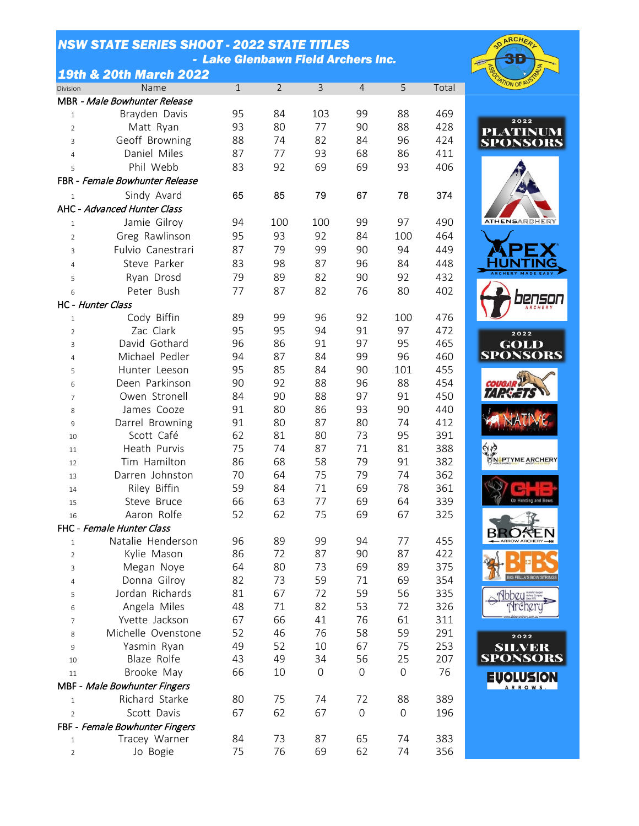## *NSW STATE SERIES SHOOT - 2022 STATE TITLES - Lake Glenbawn Field Archers Inc.*



|                | <b>19th &amp; 20th March 2022</b> |              |                |     |                  |             |       |
|----------------|-----------------------------------|--------------|----------------|-----|------------------|-------------|-------|
| Division       | Name                              | $\mathbf{1}$ | $\overline{2}$ | 3   | $\overline{4}$   | 5           | Total |
|                | MBR - Male Bowhunter Release      |              |                |     |                  |             |       |
| $\mathbf{1}$   | Brayden Davis                     | 95           | 84             | 103 | 99               | 88          | 469   |
| $\overline{2}$ | Matt Ryan                         | 93           | 80             | 77  | 90               | 88          | 428   |
| 3              | Geoff Browning                    | 88           | 74             | 82  | 84               | 96          | 424   |
| $\overline{4}$ | Daniel Miles                      | 87           | 77             | 93  | 68               | 86          | 411   |
| 5              | Phil Webb                         | 83           | 92             | 69  | 69               | 93          | 406   |
|                | FBR - Female Bowhunter Release    |              |                |     |                  |             |       |
| $\mathbf{1}$   | Sindy Avard                       | 65           | 85             | 79  | 67               | 78          | 374   |
|                | AHC - Advanced Hunter Class       |              |                |     |                  |             |       |
| $\mathbf{1}$   | Jamie Gilroy                      | 94           | 100            | 100 | 99               | 97          | 490   |
| $\overline{2}$ | Greg Rawlinson                    | 95           | 93             | 92  | 84               | 100         | 464   |
| 3              | Fulvio Canestrari                 | 87           | 79             | 99  | 90               | 94          | 449   |
| 4              | Steve Parker                      | 83           | 98             | 87  | 96               | 84          | 448   |
| 5              | Ryan Drosd                        | 79           | 89             | 82  | 90               | 92          | 432   |
| 6              | Peter Bush                        | 77           | 87             | 82  | 76               | 80          | 402   |
|                | HC - Hunter Class                 |              |                |     |                  |             |       |
| $\mathbf{1}$   | Cody Biffin                       | 89           | 99             | 96  | 92               | 100         | 476   |
| $\overline{2}$ | Zac Clark                         | 95           | 95             | 94  | 91               | 97          | 472   |
| 3              | David Gothard                     | 96           | 86             | 91  | 97               | 95          | 465   |
| 4              | Michael Pedler                    | 94           | 87             | 84  | 99               | 96          | 460   |
| 5              | Hunter Leeson                     | 95           | 85             | 84  | 90               | 101         | 455   |
| 6              | Deen Parkinson                    | 90           | 92             | 88  | 96               | 88          | 454   |
| $\overline{7}$ | Owen Stronell                     | 84           | 90             | 88  | 97               | 91          | 450   |
| 8              | James Cooze                       | 91           | 80             | 86  | 93               | 90          | 440   |
| 9              | Darrel Browning                   | 91           | 80             | 87  | 80               | 74          | 412   |
| 10             | Scott Café                        | 62           | 81             | 80  | 73               | 95          | 391   |
| 11             | Heath Purvis                      | 75           | 74             | 87  | 71               | 81          | 388   |
| 12             | Tim Hamilton                      | 86           | 68             | 58  | 79               | 91          | 382   |
| 13             | Darren Johnston                   | 70           | 64             | 75  | 79               | 74          | 362   |
| 14             | Riley Biffin                      | 59           | 84             | 71  | 69               | 78          | 361   |
| 15             | Steve Bruce                       | 66           | 63             | 77  | 69               | 64          | 339   |
| 16             | Aaron Rolfe                       | 52           | 62             | 75  | 69               | 67          | 325   |
|                | FHC - Female Hunter Class         |              |                |     |                  |             |       |
| $\mathbf{1}$   | Natalie Henderson                 | 96           | 89             | 99  | 94               | 77          | 455   |
| $\overline{2}$ | Kylie Mason                       | 86           | 72             | 87  | 90               | 87          | 422   |
| 3              | Megan Noye                        | 64           | 80             | 73  | 69               | 89          | 375   |
| 4              | Donna Gilroy                      | 82           | 73             | 59  | 71               | 69          | 354   |
| 5              | Jordan Richards                   | 81           | 67             | 72  | 59               | 56          | 335   |
| 6              | Angela Miles                      | 48           | 71             | 82  | 53               | 72          | 326   |
| $\overline{7}$ | Yvette Jackson                    | 67           | 66             | 41  | 76               | 61          | 311   |
| 8              | Michelle Ovenstone                | 52           | 46             | 76  | 58               | 59          | 291   |
| 9              | Yasmin Ryan                       | 49           | 52             | 10  | 67               | 75          | 253   |
| 10             | Blaze Rolfe                       | 43           | 49             | 34  | 56               | 25          | 207   |
| 11             | Brooke May                        | 66           | 10             | 0   | $\boldsymbol{0}$ | $\mathbf 0$ | 76    |
|                | MBF - Male Bowhunter Fingers      |              |                |     |                  |             |       |
| $\mathbf{1}$   | Richard Starke                    | 80           | 75             | 74  | 72               | 88          | 389   |
| $\overline{2}$ | Scott Davis                       | 67           | 62             | 67  | $\boldsymbol{0}$ | $\mathbf 0$ | 196   |
|                | FBF - Female Bowhunter Fingers    |              |                |     |                  |             |       |
| 1              | Tracey Warner                     | 84           | 73             | 87  | 65               | 74          | 383   |
| $\overline{2}$ | Jo Bogie                          | 75           | 76             | 69  | 62               | 74          | 356   |

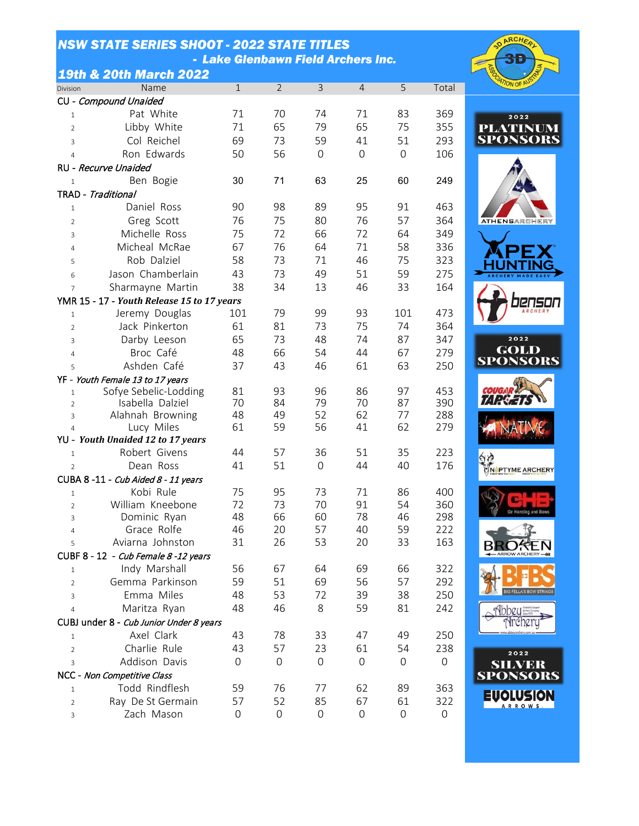|                | <b>NSW STATE SERIES SHOOT - 2022 STATE TITLES</b> |                                    |                |                |                |                |            |                                 |
|----------------|---------------------------------------------------|------------------------------------|----------------|----------------|----------------|----------------|------------|---------------------------------|
|                |                                                   | - Lake Glenbawn Field Archers Inc. |                |                |                |                |            |                                 |
|                | <b>19th &amp; 20th March 2022</b>                 |                                    |                |                |                |                |            |                                 |
| Division       | Name                                              | $\mathbf{1}$                       | $\overline{2}$ | $\overline{3}$ | $\overline{4}$ | 5              | Total      |                                 |
|                | CU - Compound Unaided                             |                                    |                |                |                |                |            |                                 |
| $\mathbf{1}$   | Pat White                                         | 71                                 | 70             | 74             | 71             | 83             | 369        |                                 |
| $\overline{2}$ | Libby White                                       | 71                                 | 65             | 79             | 65             | 75             | 355        |                                 |
| $\overline{3}$ | Col Reichel                                       | 69                                 | 73             | 59             | 41             | 51             | 293        | $\frac{\mathbf{P}}{\mathbf{S}}$ |
| $\overline{4}$ | Ron Edwards                                       | 50                                 | 56             | $\mathbf 0$    | $\overline{0}$ | $\overline{0}$ | 106        |                                 |
|                | RU - Recurve Unaided                              |                                    |                |                |                |                |            |                                 |
| $\mathbf{1}$   | Ben Bogie                                         | 30                                 | 71             | 63             | 25             | 60             | 249        |                                 |
|                | TRAD - Traditional                                |                                    |                |                |                |                |            |                                 |
| $\mathbf{1}$   | Daniel Ross                                       | 90                                 | 98             | 89             | 95             | 91             | 463        |                                 |
| $\overline{2}$ | Greg Scott                                        | 76                                 | 75             | 80             | 76             | 57             | 364        | $\triangleright$                |
| $\overline{3}$ | Michelle Ross                                     | 75                                 | 72             | 66             | 72             | 64             | 349        |                                 |
| $\overline{4}$ | Micheal McRae                                     | 67                                 | 76             | 64             | 71             | 58             | 336        |                                 |
| 5              | Rob Dalziel                                       | 58                                 | 73             | 71             | 46             | 75             | 323        |                                 |
| 6              | Jason Chamberlain                                 | 43                                 | 73             | 49             | 51             | 59             | 275        |                                 |
| $\overline{7}$ | Sharmayne Martin                                  | 38                                 | 34             | 13             | 46             | 33             | 164        |                                 |
|                | YMR 15 - 17 - Youth Release 15 to 17 years        |                                    |                |                |                |                |            |                                 |
| $\mathbf{1}$   | Jeremy Douglas                                    | 101                                | 79             | 99             | 93             | 101            | 473        |                                 |
| 2              | Jack Pinkerton                                    | 61                                 | 81             | 73             | 75             | 74             | 364        |                                 |
| $\mathsf{3}$   | Darby Leeson                                      | 65                                 | 73             | 48             | 74             | 87             | 347        |                                 |
| $\overline{4}$ | Broc Café                                         | 48                                 | 66             | 54             | 44             | 67             | 279        |                                 |
| 5              | Ashden Café                                       | 37                                 | 43             | 46             | 61             | 63             | 250        | S                               |
|                | YF - Youth Female 13 to 17 years                  |                                    |                |                |                |                |            |                                 |
| $\mathbf{1}$   | Sofye Sebelic-Lodding                             | 81                                 | 93             | 96             | 86             | 97             | 453        |                                 |
| $\overline{2}$ | Isabella Dalziel                                  | 70                                 | 84             | 79             | 70             | 87             | 390        | 7                               |
| 3              | Alahnah Browning                                  | 48                                 | 49             | 52             | 62             | 77             | 288        |                                 |
| $\overline{4}$ | Lucy Miles                                        | 61                                 | 59             | 56             | 41             | 62             | 279        |                                 |
|                | YU - Youth Unaided 12 to 17 years                 |                                    |                |                |                |                |            |                                 |
| $\mathbf{1}$   | Robert Givens                                     | 44                                 | 57             | 36             | 51             | 35             | 223        |                                 |
| $\overline{2}$ | Dean Ross                                         | 41                                 | 51             | $\overline{0}$ | 44             | 40             | 176        | AN                              |
|                | CUBA 8-11 - Cub Aided 8 - 11 years                |                                    |                |                |                |                |            |                                 |
| $\mathbf{1}$   | Kobi Rule                                         | 75                                 | 95             | 73             | 71             | 86             | 400        |                                 |
| $\overline{2}$ | William Kneebone<br>Dominic Ryan                  | 72<br>48                           | 73<br>66       | 70<br>60       | 91<br>78       | 54<br>46       | 360<br>298 |                                 |
| 3              |                                                   |                                    |                |                |                |                |            |                                 |

Dominic Ryan 48 66 60 78 46 298

Aviarna Johnston 31 26 53 20 33 163

 Indy Marshall 56 67 64 69 66 322 Gemma Parkinson 59 51 69 56 57 292 Emma Miles 48 53 72 39 38 250 Maritza Ryan 48 46 8 59 81 242

 Axel Clark 43 78 33 47 49 250 Charlie Rule 43 57 23 61 54 238 Addison Davis 0 0 0 0 0 0

 Todd Rindflesh 59 76 77 62 89 363 Ray De St Germain 57 52 85 67 61 322 Zach Mason 0 0 0 0 0 0

4 Grace Rolfe 46

CUBF 8 - 12 - Cub Female 8 -12 years

CUBJ under 8 - Cub Junior Under 8 years

NCC - Non Competitive Class



**EVOLUSION** ARROWS

**ARCH**